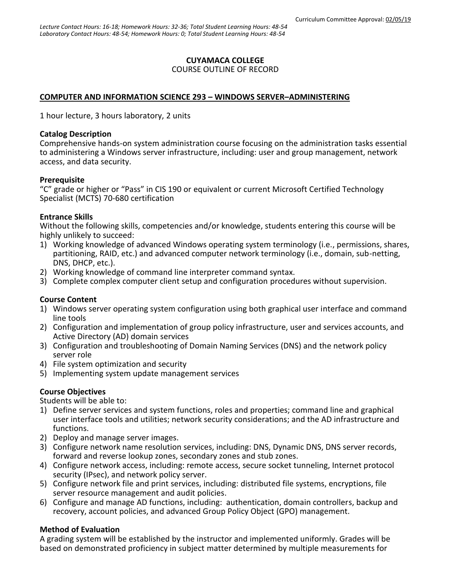## **CUYAMACA COLLEGE**

#### COURSE OUTLINE OF RECORD

### **COMPUTER AND INFORMATION SCIENCE 293 – WINDOWS SERVER–ADMINISTERING**

1 hour lecture, 3 hours laboratory, 2 units

#### **Catalog Description**

Comprehensive hands-on system administration course focusing on the administration tasks essential to administering a Windows server infrastructure, including: user and group management, network access, and data security.

### **Prerequisite**

"C" grade or higher or "Pass" in CIS 190 or equivalent or current Microsoft Certified Technology Specialist (MCTS) 70-680 certification

### **Entrance Skills**

Without the following skills, competencies and/or knowledge, students entering this course will be highly unlikely to succeed:

- 1) Working knowledge of advanced Windows operating system terminology (i.e., permissions, shares, partitioning, RAID, etc.) and advanced computer network terminology (i.e., domain, sub-netting, DNS, DHCP, etc.).
- 2) Working knowledge of command line interpreter command syntax.
- 3) Complete complex computer client setup and configuration procedures without supervision.

### **Course Content**

- 1) Windows server operating system configuration using both graphical user interface and command line tools
- 2) Configuration and implementation of group policy infrastructure, user and services accounts, and Active Directory (AD) domain services
- 3) Configuration and troubleshooting of Domain Naming Services (DNS) and the network policy server role
- 4) File system optimization and security
- 5) Implementing system update management services

#### **Course Objectives**

Students will be able to:

- 1) Define server services and system functions, roles and properties; command line and graphical user interface tools and utilities; network security considerations; and the AD infrastructure and functions.
- 2) Deploy and manage server images.
- 3) Configure network name resolution services, including: DNS, Dynamic DNS, DNS server records, forward and reverse lookup zones, secondary zones and stub zones.
- 4) Configure network access, including: remote access, secure socket tunneling, Internet protocol security (IPsec), and network policy server.
- 5) Configure network file and print services, including: distributed file systems, encryptions, file server resource management and audit policies.
- 6) Configure and manage AD functions, including: authentication, domain controllers, backup and recovery, account policies, and advanced Group Policy Object (GPO) management.

### **Method of Evaluation**

A grading system will be established by the instructor and implemented uniformly. Grades will be based on demonstrated proficiency in subject matter determined by multiple measurements for